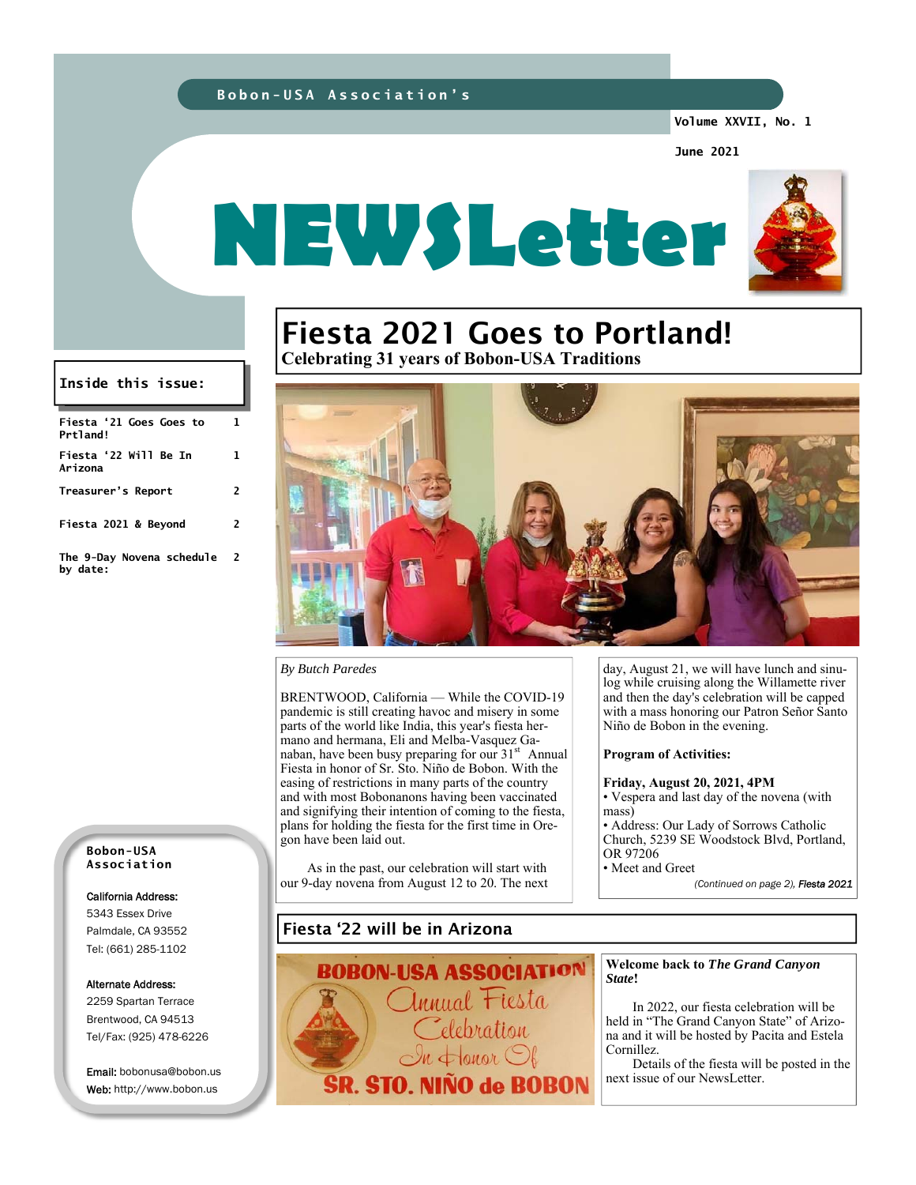#### **Bobon-USA Association's**

**Volume XXVII, No. 1** 

**June 2021** 



# Fiesta 2021 Goes to Portland!

**Celebrating 31 years of Bobon-USA Traditions** 



#### *By Butch Paredes*

BRENTWOOD, California — While the COVID-19 pandemic is still creating havoc and misery in some parts of the world like India, this year's fiesta hermano and hermana, Eli and Melba-Vasquez Ganaban, have been busy preparing for our  $31<sup>st</sup>$  Annual Fiesta in honor of Sr. Sto. Niño de Bobon. With the easing of restrictions in many parts of the country and with most Bobonanons having been vaccinated and signifying their intention of coming to the fiesta, plans for holding the fiesta for the first time in Oregon have been laid out.

 As in the past, our celebration will start with our 9-day novena from August 12 to 20. The next

day, August 21, we will have lunch and sinulog while cruising along the Willamette river and then the day's celebration will be capped with a mass honoring our Patron Señor Santo Niño de Bobon in the evening.

#### **Program of Activities:**

#### **Friday, August 20, 2021, 4PM**

• Vespera and last day of the novena (with mass)

• Address: Our Lady of Sorrows Catholic Church, 5239 SE Woodstock Blvd, Portland, OR 97206

• Meet and Greet

*(Continued on page 2), Fiesta 2021* 

**Bobon-USA Association** 

**Fiesta '21 Goes Goes to** 

**Inside this issue:** 

**Treasurer's Report 2** 

**Fiesta 2021 & Beyond 2** 

**The 9-Day Novena schedule** 

**Fiesta '22 Will Be In** 

**1** 

**1** 

**2** 

**Prtland!** 

**Arizona** 

**by date:** 

#### California Address:

5343 Essex Drive Palmdale, CA 93552 Tel: (661) 285-1102

#### Alternate Address:

2259 Spartan Terrace Brentwood, CA 94513 Tel/Fax: (925) 478-6226

Email: bobonusa@bobon.us Web: http://www.bobon.us

### Fiesta '22 will be in Arizona



#### **Welcome back to** *The Grand Canyon State***!**

In 2022, our fiesta celebration will be held in "The Grand Canyon State" of Arizona and it will be hosted by Pacita and Estela Cornillez.

 Details of the fiesta will be posted in the next issue of our NewsLetter.